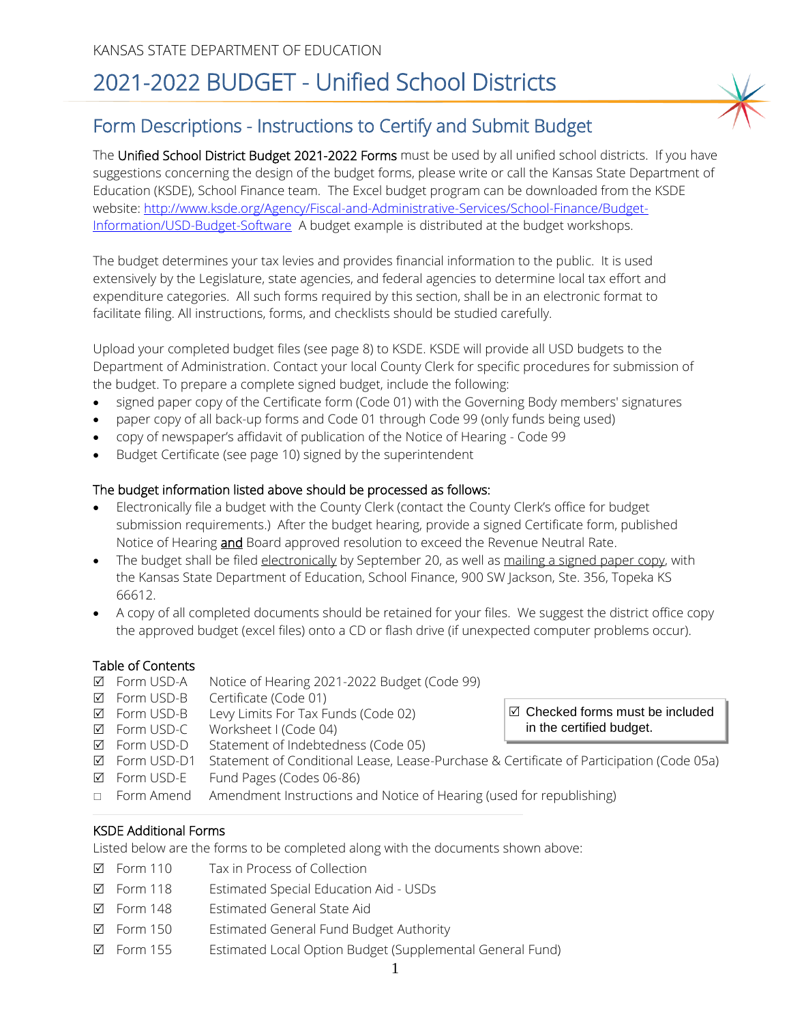# 2021-2022 BUDGET - Unified School Districts

### Form Descriptions - Instructions to Certify and Submit Budget

The Unified School District Budget 2021-2022 Forms must be used by all unified school districts. If you have suggestions concerning the design of the budget forms, please write or call the Kansas State Department of Education (KSDE), School Finance team. The Excel budget program can be downloaded from the KSDE website: [http://www.ksde.org/Agency/Fiscal-and-Administrative-Services/School-Finance/Budget-](http://www.ksde.org/Agency/Fiscal-and-Administrative-Services/School-Finance/Budget-Information/USD-Budget-Software)[Information/USD-Budget-Software](http://www.ksde.org/Agency/Fiscal-and-Administrative-Services/School-Finance/Budget-Information/USD-Budget-Software) A budget example is distributed at the budget workshops.

The budget determines your tax levies and provides financial information to the public. It is used extensively by the Legislature, state agencies, and federal agencies to determine local tax effort and expenditure categories. All such forms required by this section, shall be in an electronic format to facilitate filing. All instructions, forms, and checklists should be studied carefully.

Upload your completed budget files (see page 8) to KSDE. KSDE will provide all USD budgets to the Department of Administration. Contact your local County Clerk for specific procedures for submission of the budget. To prepare a complete signed budget, include the following:

- signed paper copy of the Certificate form (Code 01) with the Governing Body members' signatures
- paper copy of all back-up forms and Code 01 through Code 99 (only funds being used)
- copy of newspaper's affidavit of publication of the Notice of Hearing Code 99
- Budget Certificate (see page 10) signed by the superintendent

#### The budget information listed above should be processed as follows:

- Electronically file a budget with the County Clerk (contact the County Clerk's office for budget submission requirements.) After the budget hearing, provide a signed Certificate form, published Notice of Hearing **and** Board approved resolution to exceed the Revenue Neutral Rate.
- The budget shall be filed electronically by September 20, as well as mailing a signed paper copy, with the Kansas State Department of Education, School Finance, 900 SW Jackson, Ste. 356, Topeka KS 66612.
- A copy of all completed documents should be retained for your files. We suggest the district office copy the approved budget (excel files) onto a CD or flash drive (if unexpected computer problems occur).

 $\boxtimes$  Checked forms must be included

in the certified budget.

#### Table of Contents

- Form USD-A Notice of Hearing 2021-2022 Budget (Code 99)
- Form USD-B Certificate (Code 01)
- $\boxtimes$  Form USD-B Levy Limits For Tax Funds (Code 02)
- Form USD-C Worksheet I (Code 04)
- $\boxtimes$  Form USD-D Statement of Indebtedness (Code 05)
- Form USD-D1 Statement of Conditional Lease, Lease-Purchase & Certificate of Participation (Code 05a)
- Form USD-E Fund Pages (Codes 06-86)
- □ Form Amend Amendment Instructions and Notice of Hearing (used for republishing)

#### KSDE Additional Forms

Listed below are the forms to be completed along with the documents shown above:

- Form 110 Tax in Process of Collection
- Form 118 Estimated Special Education Aid USDs
- Form 148 Estimated General State Aid
- Form 150 Estimated General Fund Budget Authority
- Form 155 Estimated Local Option Budget (Supplemental General Fund)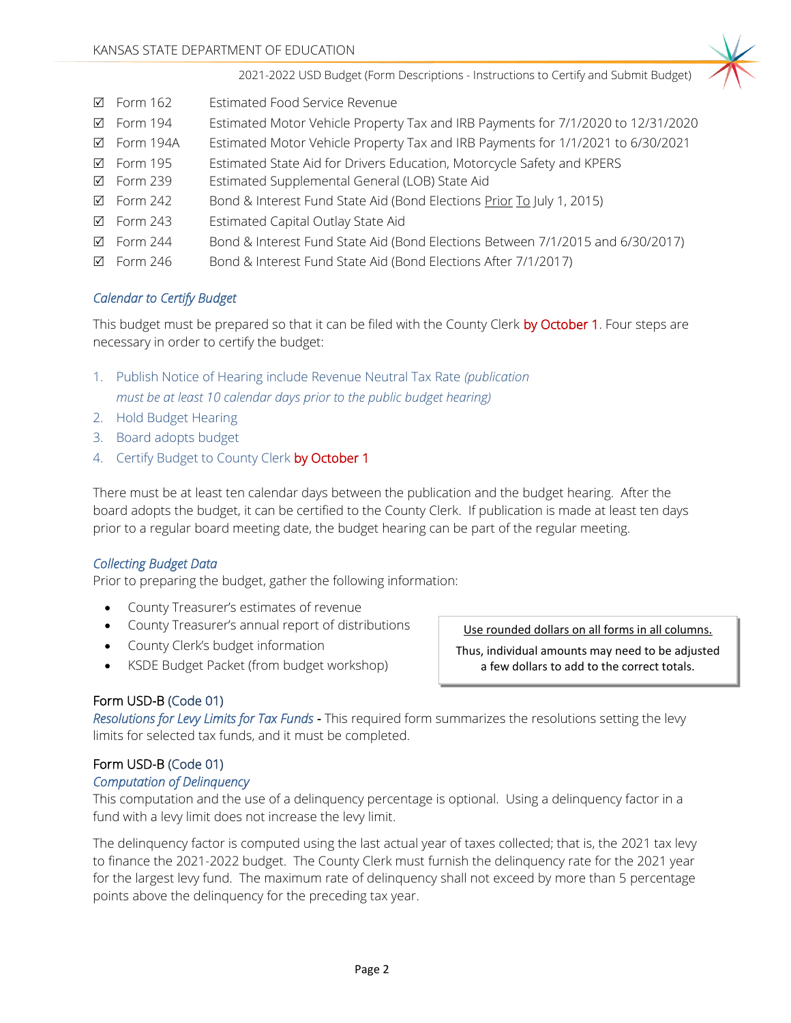

- Form 162 Estimated Food Service Revenue
- Form 194 Estimated Motor Vehicle Property Tax and IRB Payments for 7/1/2020 to 12/31/2020
- Form 194A Estimated Motor Vehicle Property Tax and IRB Payments for 1/1/2021 to 6/30/2021
- Form 195 Estimated State Aid for Drivers Education, Motorcycle Safety and KPERS
- Form 239 Estimated Supplemental General (LOB) State Aid
- $\boxtimes$  Form 242 Bond & Interest Fund State Aid (Bond Elections Prior To July 1, 2015)
- Form 243 Estimated Capital Outlay State Aid
- Form 244 Bond & Interest Fund State Aid (Bond Elections Between 7/1/2015 and 6/30/2017)
- Form 246 Bond & Interest Fund State Aid (Bond Elections After 7/1/2017)

### *Calendar to Certify Budget*

This budget must be prepared so that it can be filed with the County Clerk by October 1. Four steps are necessary in order to certify the budget:

- 1. Publish Notice of Hearing include Revenue Neutral Tax Rate *(publication must be at least 10 calendar days prior to the public budget hearing)*
- 2. Hold Budget Hearing
- 3. Board adopts budget
- 4. Certify Budget to County Clerk by October 1

There must be at least ten calendar days between the publication and the budget hearing. After the board adopts the budget, it can be certified to the County Clerk. If publication is made at least ten days prior to a regular board meeting date, the budget hearing can be part of the regular meeting.

#### *Collecting Budget Data*

Prior to preparing the budget, gather the following information:

- County Treasurer's estimates of revenue
- County Treasurer's annual report of distributions
- County Clerk's budget information
- KSDE Budget Packet (from budget workshop)

Use rounded dollars on all forms in all columns.

Thus, individual amounts may need to be adjusted a few dollars to add to the correct totals.

#### Form USD-B (Code 01)

*Resolutions for Levy Limits for Tax Funds -* This required form summarizes the resolutions setting the levy limits for selected tax funds, and it must be completed.

#### Form USD-B (Code 01)

#### *Computation of Delinquency*

This computation and the use of a delinquency percentage is optional. Using a delinquency factor in a fund with a levy limit does not increase the levy limit.

The delinquency factor is computed using the last actual year of taxes collected; that is, the 2021 tax levy to finance the 2021-2022 budget. The County Clerk must furnish the delinquency rate for the 2021 year for the largest levy fund. The maximum rate of delinquency shall not exceed by more than 5 percentage points above the delinquency for the preceding tax year.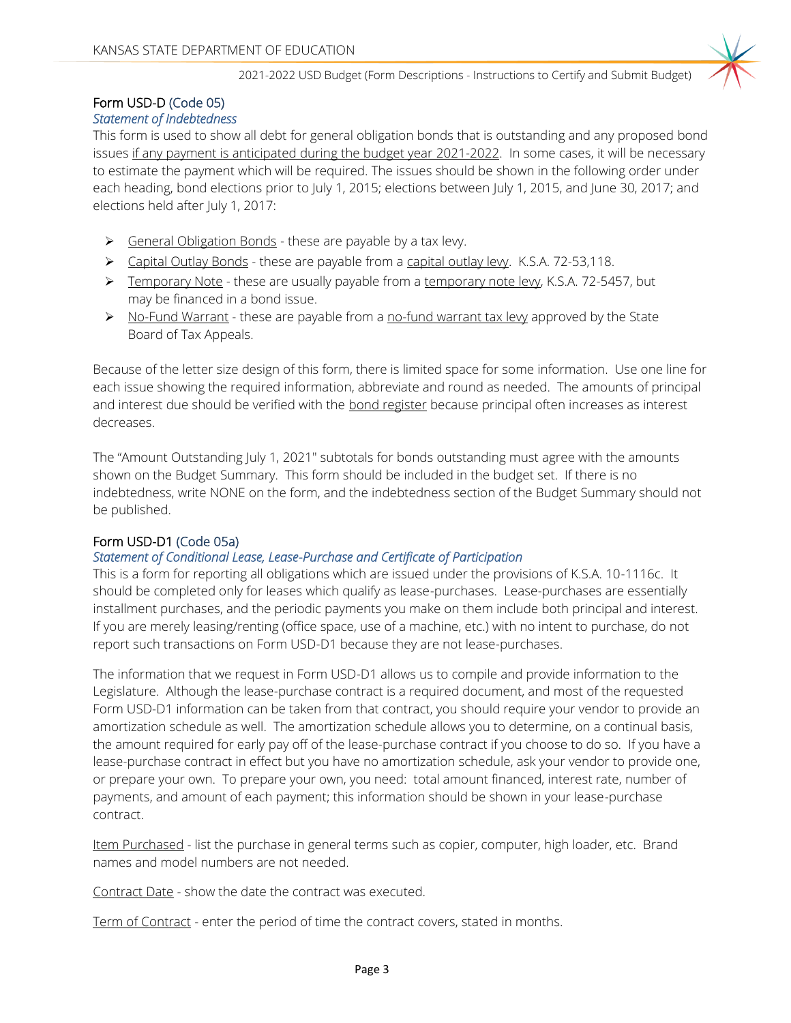

### Form USD-D (Code 05)

#### *Statement of Indebtedness*

This form is used to show all debt for general obligation bonds that is outstanding and any proposed bond issues if any payment is anticipated during the budget year 2021-2022. In some cases, it will be necessary to estimate the payment which will be required. The issues should be shown in the following order under each heading, bond elections prior to July 1, 2015; elections between July 1, 2015, and June 30, 2017; and elections held after July 1, 2017:

- ➢ General Obligation Bonds these are payable by a tax levy.
- ➢ Capital Outlay Bonds these are payable from a capital outlay levy. K.S.A. 72-53,118.
- ➢ Temporary Note these are usually payable from a temporary note levy, K.S.A. 72-5457, but may be financed in a bond issue.
- $\triangleright$  No-Fund Warrant these are payable from a no-fund warrant tax levy approved by the State Board of Tax Appeals.

Because of the letter size design of this form, there is limited space for some information. Use one line for each issue showing the required information, abbreviate and round as needed. The amounts of principal and interest due should be verified with the bond register because principal often increases as interest decreases.

The "Amount Outstanding July 1, 2021" subtotals for bonds outstanding must agree with the amounts shown on the Budget Summary. This form should be included in the budget set. If there is no indebtedness, write NONE on the form, and the indebtedness section of the Budget Summary should not be published.

#### Form USD-D1 (Code 05a)

#### *Statement of Conditional Lease, Lease-Purchase and Certificate of Participation*

This is a form for reporting all obligations which are issued under the provisions of K.S.A. 10-1116c. It should be completed only for leases which qualify as lease-purchases. Lease-purchases are essentially installment purchases, and the periodic payments you make on them include both principal and interest. If you are merely leasing/renting (office space, use of a machine, etc.) with no intent to purchase, do not report such transactions on Form USD-D1 because they are not lease-purchases.

The information that we request in Form USD-D1 allows us to compile and provide information to the Legislature. Although the lease-purchase contract is a required document, and most of the requested Form USD-D1 information can be taken from that contract, you should require your vendor to provide an amortization schedule as well. The amortization schedule allows you to determine, on a continual basis, the amount required for early pay off of the lease-purchase contract if you choose to do so. If you have a lease-purchase contract in effect but you have no amortization schedule, ask your vendor to provide one, or prepare your own. To prepare your own, you need: total amount financed, interest rate, number of payments, and amount of each payment; this information should be shown in your lease-purchase contract.

Item Purchased - list the purchase in general terms such as copier, computer, high loader, etc. Brand names and model numbers are not needed.

Contract Date - show the date the contract was executed.

Term of Contract - enter the period of time the contract covers, stated in months.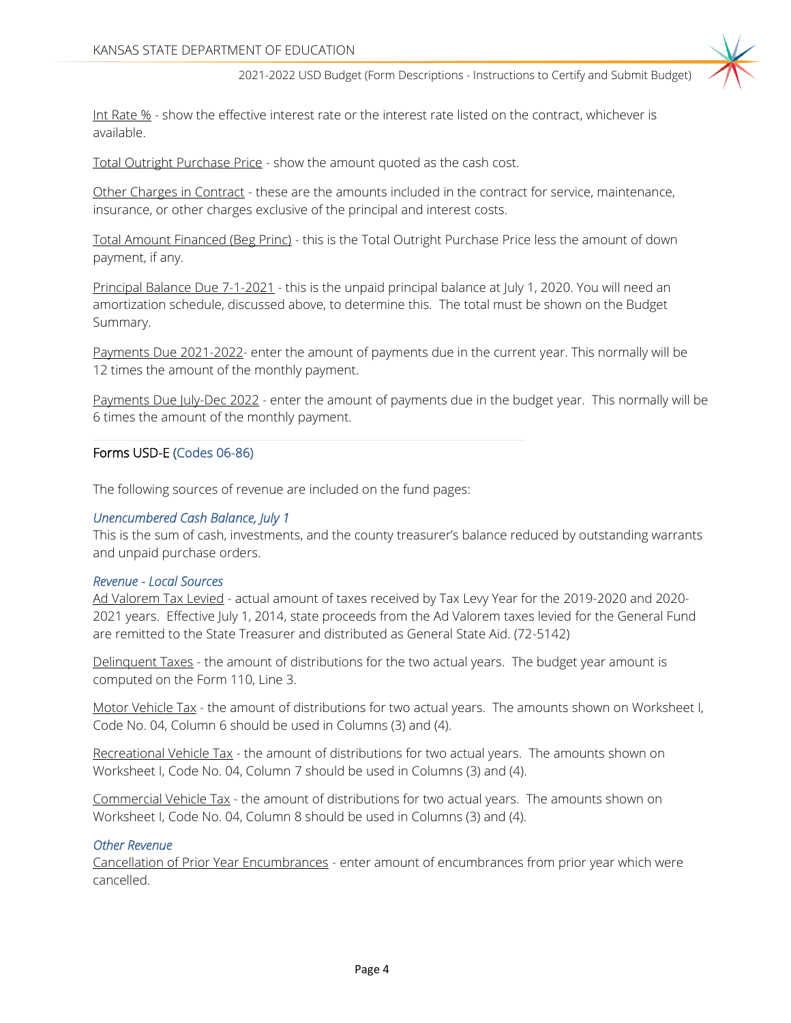Int Rate % - show the effective interest rate or the interest rate listed on the contract, whichever is available.

Total Outright Purchase Price - show the amount quoted as the cash cost.

Other Charges in Contract - these are the amounts included in the contract for service, maintenance, insurance, or other charges exclusive of the principal and interest costs.

Total Amount Financed (Beg Princ) - this is the Total Outright Purchase Price less the amount of down payment, if any.

Principal Balance Due 7-1-2021 - this is the unpaid principal balance at July 1, 2020. You will need an amortization schedule, discussed above, to determine this. The total must be shown on the Budget Summary.

Payments Due 2021-2022- enter the amount of payments due in the current year. This normally will be 12 times the amount of the monthly payment.

Payments Due July-Dec 2022 - enter the amount of payments due in the budget year. This normally will be 6 times the amount of the monthly payment.

#### Forms USD-E (Codes 06-86)

The following sources of revenue are included on the fund pages:

#### *Unencumbered Cash Balance, July 1*

This is the sum of cash, investments, and the county treasurer's balance reduced by outstanding warrants and unpaid purchase orders.

#### *Revenue - Local Sources*

Ad Valorem Tax Levied - actual amount of taxes received by Tax Levy Year for the 2019-2020 and 2020- 2021 years. Effective July 1, 2014, state proceeds from the Ad Valorem taxes levied for the General Fund are remitted to the State Treasurer and distributed as General State Aid. (72-5142)

Delinquent Taxes - the amount of distributions for the two actual years. The budget year amount is computed on the Form 110, Line 3.

Motor Vehicle Tax - the amount of distributions for two actual years. The amounts shown on Worksheet I, Code No. 04, Column 6 should be used in Columns (3) and (4).

Recreational Vehicle Tax - the amount of distributions for two actual years. The amounts shown on Worksheet I, Code No. 04, Column 7 should be used in Columns (3) and (4).

Commercial Vehicle Tax - the amount of distributions for two actual years. The amounts shown on Worksheet I, Code No. 04, Column 8 should be used in Columns (3) and (4).

#### *Other Revenue*

Cancellation of Prior Year Encumbrances - enter amount of encumbrances from prior year which were cancelled.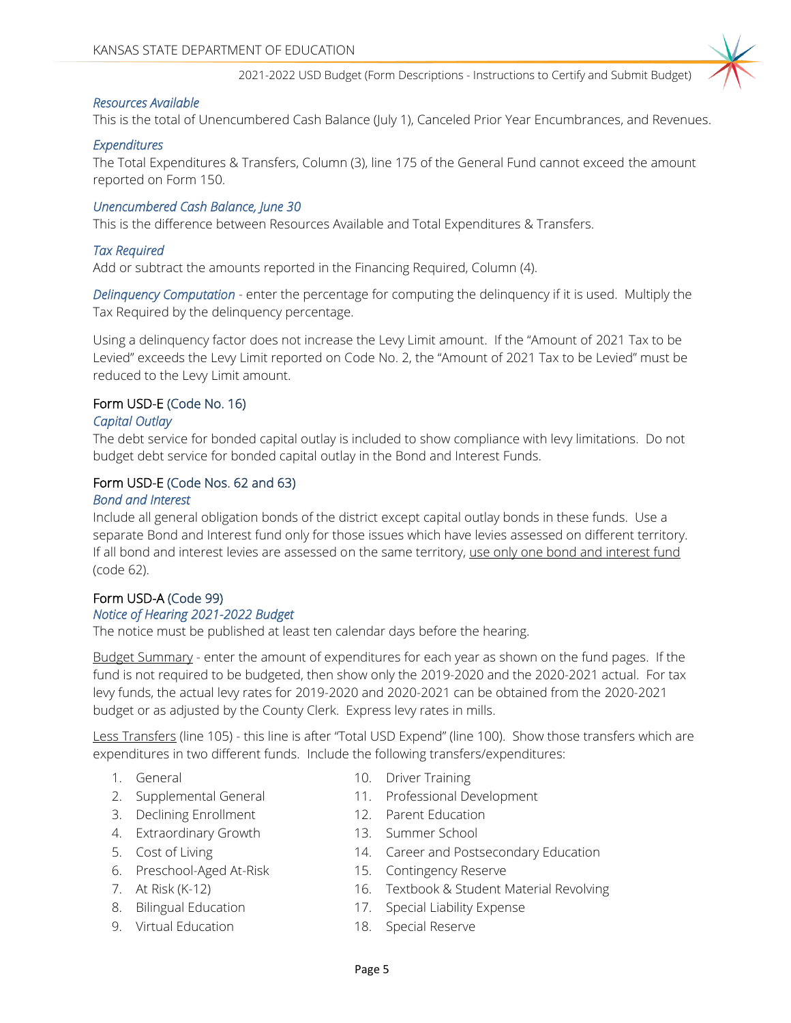#### *Resources Available*

This is the total of Unencumbered Cash Balance (July 1), Canceled Prior Year Encumbrances, and Revenues.

#### *Expenditures*

The Total Expenditures & Transfers, Column (3), line 175 of the General Fund cannot exceed the amount reported on Form 150.

#### *Unencumbered Cash Balance, June 30*

This is the difference between Resources Available and Total Expenditures & Transfers.

#### *Tax Required*

Add or subtract the amounts reported in the Financing Required, Column (4).

*Delinquency Computation* - enter the percentage for computing the delinquency if it is used. Multiply the Tax Required by the delinquency percentage.

Using a delinquency factor does not increase the Levy Limit amount. If the "Amount of 2021 Tax to be Levied" exceeds the Levy Limit reported on Code No. 2, the "Amount of 2021 Tax to be Levied" must be reduced to the Levy Limit amount.

#### Form USD-E (Code No. 16)

#### *Capital Outlay*

The debt service for bonded capital outlay is included to show compliance with levy limitations. Do not budget debt service for bonded capital outlay in the Bond and Interest Funds.

#### Form USD-E (Code Nos. 62 and 63)

#### *Bond and Interest*

Include all general obligation bonds of the district except capital outlay bonds in these funds. Use a separate Bond and Interest fund only for those issues which have levies assessed on different territory. If all bond and interest levies are assessed on the same territory, use only one bond and interest fund (code 62).

#### Form USD-A (Code 99)

#### *Notice of Hearing 2021-2022 Budget*

The notice must be published at least ten calendar days before the hearing.

Budget Summary - enter the amount of expenditures for each year as shown on the fund pages. If the fund is not required to be budgeted, then show only the 2019-2020 and the 2020-2021 actual. For tax levy funds, the actual levy rates for 2019-2020 and 2020-2021 can be obtained from the 2020-2021 budget or as adjusted by the County Clerk. Express levy rates in mills.

Less Transfers (line 105) - this line is after "Total USD Expend" (line 100). Show those transfers which are expenditures in two different funds. Include the following transfers/expenditures:

- 
- 
- 3. Declining Enrollment 12. Parent Education
- 4. Extraordinary Growth 13. Summer School
- 
- 6. Preschool-Aged At-Risk 15. Contingency Reserve
- 
- 
- 9. Virtual Education 18. Special Reserve
- 1. General 10. Driver Training
- 2. Supplemental General 11. Professional Development
	-
	-
- 5. Cost of Living 14. Career and Postsecondary Education
	-
- 7. At Risk (K-12) 16. Textbook & Student Material Revolving
- 8. Bilingual Education 17. Special Liability Expense
	-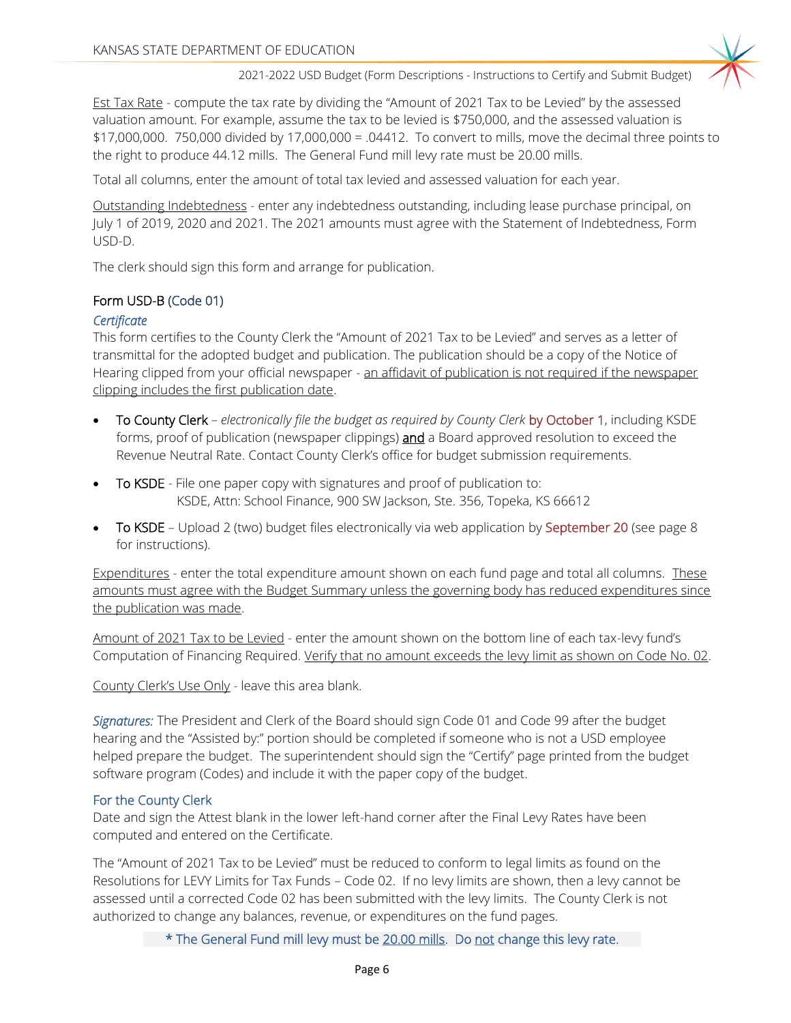Est Tax Rate - compute the tax rate by dividing the "Amount of 2021 Tax to be Levied" by the assessed valuation amount. For example, assume the tax to be levied is \$750,000, and the assessed valuation is \$17,000,000. 750,000 divided by 17,000,000 = .04412. To convert to mills, move the decimal three points to the right to produce 44.12 mills. The General Fund mill levy rate must be 20.00 mills.

Total all columns, enter the amount of total tax levied and assessed valuation for each year.

Outstanding Indebtedness - enter any indebtedness outstanding, including lease purchase principal, on July 1 of 2019, 2020 and 2021. The 2021 amounts must agree with the Statement of Indebtedness, Form USD-D.

The clerk should sign this form and arrange for publication.

#### Form USD-B (Code 01)

#### *Certificate*

This form certifies to the County Clerk the "Amount of 2021 Tax to be Levied" and serves as a letter of transmittal for the adopted budget and publication. The publication should be a copy of the Notice of Hearing clipped from your official newspaper - an affidavit of publication is not required if the newspaper clipping includes the first publication date.

- To County Clerk *electronically file the budget as required by County Clerk* by October 1, including KSDE forms, proof of publication (newspaper clippings) **and** a Board approved resolution to exceed the Revenue Neutral Rate. Contact County Clerk's office for budget submission requirements.
- **To KSDE** File one paper copy with signatures and proof of publication to: KSDE, Attn: School Finance, 900 SW Jackson, Ste. 356, Topeka, KS 66612
- To KSDE Upload 2 (two) budget files electronically via web application by September 20 (see page 8 for instructions).

Expenditures - enter the total expenditure amount shown on each fund page and total all columns. These amounts must agree with the Budget Summary unless the governing body has reduced expenditures since the publication was made.

Amount of 2021 Tax to be Levied - enter the amount shown on the bottom line of each tax-levy fund's Computation of Financing Required. Verify that no amount exceeds the levy limit as shown on Code No. 02.

County Clerk's Use Only - leave this area blank.

*Signatures:* The President and Clerk of the Board should sign Code 01 and Code 99 after the budget hearing and the "Assisted by:" portion should be completed if someone who is not a USD employee helped prepare the budget. The superintendent should sign the "Certify" page printed from the budget software program (Codes) and include it with the paper copy of the budget.

#### For the County Clerk

Date and sign the Attest blank in the lower left-hand corner after the Final Levy Rates have been computed and entered on the Certificate.

The "Amount of 2021 Tax to be Levied" must be reduced to conform to legal limits as found on the Resolutions for LEVY Limits for Tax Funds – Code 02. If no levy limits are shown, then a levy cannot be assessed until a corrected Code 02 has been submitted with the levy limits. The County Clerk is not authorized to change any balances, revenue, or expenditures on the fund pages.

\* The General Fund mill levy must be 20.00 mills. Do not change this levy rate.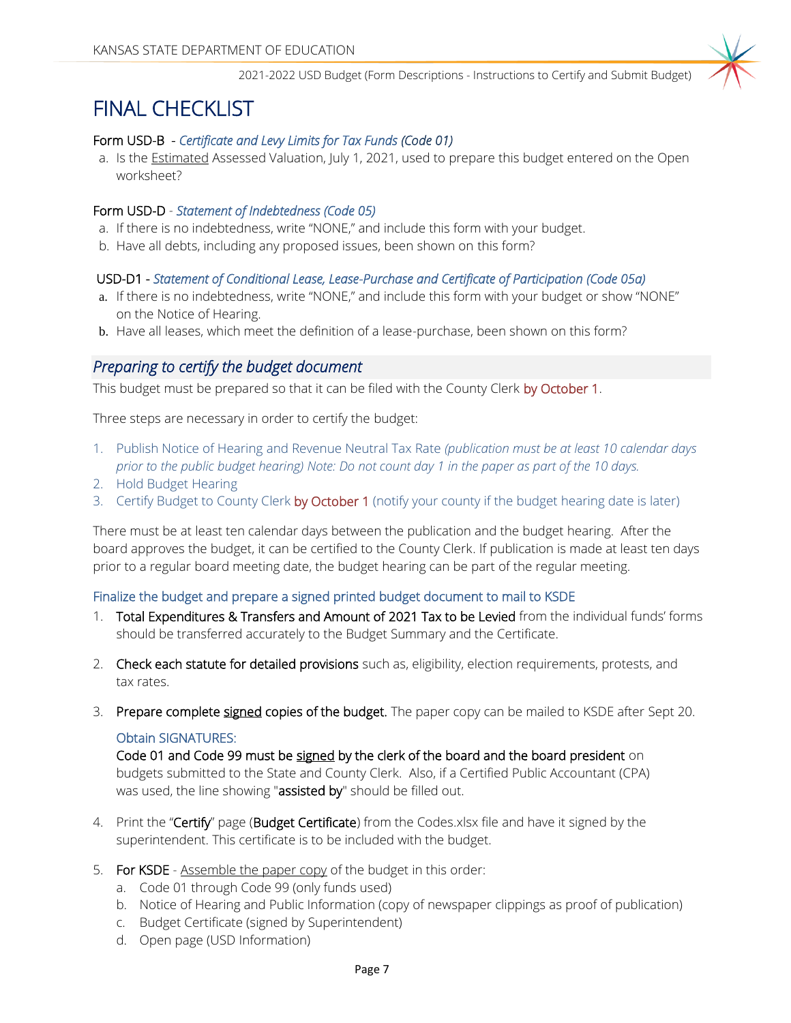## FINAL CHECKLIST

#### Form USD-B - *Certificate and Levy Limits for Tax Funds (Code 01)*

a. Is the Estimated Assessed Valuation, July 1, 2021, used to prepare this budget entered on the Open worksheet?

#### Form USD-D - *Statement of Indebtedness (Code 05)*

- a. If there is no indebtedness, write "NONE," and include this form with your budget.
- b. Have all debts, including any proposed issues, been shown on this form?

#### USD-D1 - *Statement of Conditional Lease, Lease-Purchase and Certificate of Participation (Code 05a)*

- a. If there is no indebtedness, write "NONE," and include this form with your budget or show "NONE" on the Notice of Hearing.
- b. Have all leases, which meet the definition of a lease-purchase, been shown on this form?

#### *Preparing to certify the budget document*

This budget must be prepared so that it can be filed with the County Clerk by October 1.

Three steps are necessary in order to certify the budget:

- 1. Publish Notice of Hearing and Revenue Neutral Tax Rate *(publication must be at least 10 calendar days prior to the public budget hearing) Note: Do not count day 1 in the paper as part of the 10 days.*
- 2. Hold Budget Hearing
- 3. Certify Budget to County Clerk by October 1 (notify your county if the budget hearing date is later)

There must be at least ten calendar days between the publication and the budget hearing. After the board approves the budget, it can be certified to the County Clerk. If publication is made at least ten days prior to a regular board meeting date, the budget hearing can be part of the regular meeting.

#### Finalize the budget and prepare a signed printed budget document to mail to KSDE

- 1. Total Expenditures & Transfers and Amount of 2021 Tax to be Levied from the individual funds' forms should be transferred accurately to the Budget Summary and the Certificate.
- 2. Check each statute for detailed provisions such as, eligibility, election requirements, protests, and tax rates.
- 3. Prepare complete signed copies of the budget. The paper copy can be mailed to KSDE after Sept 20.

#### Obtain SIGNATURES:

Code 01 and Code 99 must be signed by the clerk of the board and the board president on budgets submitted to the State and County Clerk. Also, if a Certified Public Accountant (CPA) was used, the line showing "assisted by" should be filled out.

- 4. Print the "Certify" page (Budget Certificate) from the Codes.xlsx file and have it signed by the superintendent. This certificate is to be included with the budget.
- 5. For KSDE Assemble the paper copy of the budget in this order:
	- a. Code 01 through Code 99 (only funds used)
	- b. Notice of Hearing and Public Information (copy of newspaper clippings as proof of publication)
	- c. Budget Certificate (signed by Superintendent)
	- d. Open page (USD Information)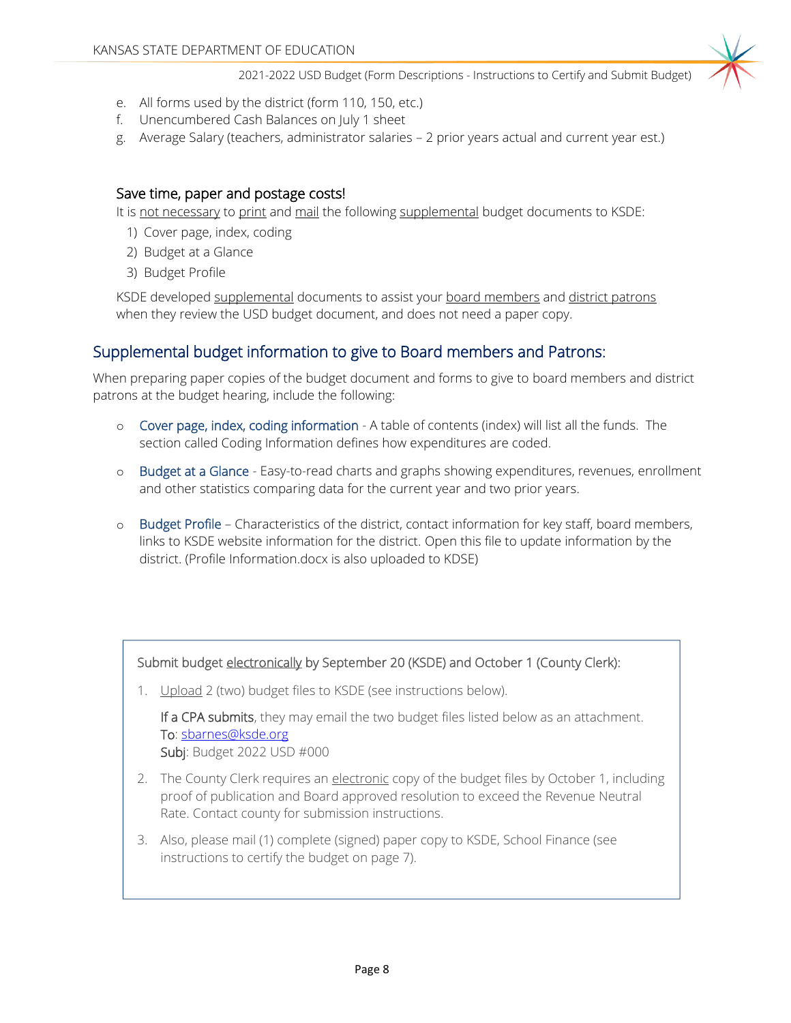- e. All forms used by the district (form 110, 150, etc.)
- f. Unencumbered Cash Balances on July 1 sheet
- g. Average Salary (teachers, administrator salaries 2 prior years actual and current year est.)

#### Save time, paper and postage costs!

It is not necessary to print and mail the following supplemental budget documents to KSDE:

- 1) Cover page, index, coding
- 2) Budget at a Glance
- 3) Budget Profile

KSDE developed supplemental documents to assist your board members and district patrons when they review the USD budget document, and does not need a paper copy.

### Supplemental budget information to give to Board members and Patrons:

When preparing paper copies of the budget document and forms to give to board members and district patrons at the budget hearing, include the following:

- o Cover page, index, coding information A table of contents (index) will list all the funds. The section called Coding Information defines how expenditures are coded.
- o Budget at a Glance Easy-to-read charts and graphs showing expenditures, revenues, enrollment and other statistics comparing data for the current year and two prior years.
- o Budget Profile Characteristics of the district, contact information for key staff, board members, links to KSDE website information for the district. Open this file to update information by the district. (Profile Information.docx is also uploaded to KDSE)

#### Submit budget electronically by September 20 (KSDE) and October 1 (County Clerk):

1. Upload 2 (two) budget files to KSDE (see instructions below).

If a CPA submits, they may email the two budget files listed below as an attachment. To: [sbarnes@ksde.org](mailto:sbarnes@ksde.org) Subj: Budget 2022 USD #000

- 2. The County Clerk requires an electronic copy of the budget files by October 1, including proof of publication and Board approved resolution to exceed the Revenue Neutral Rate. Contact county for submission instructions.
- 3. Also, please mail (1) complete (signed) paper copy to KSDE, School Finance (see instructions to certify the budget on page 7).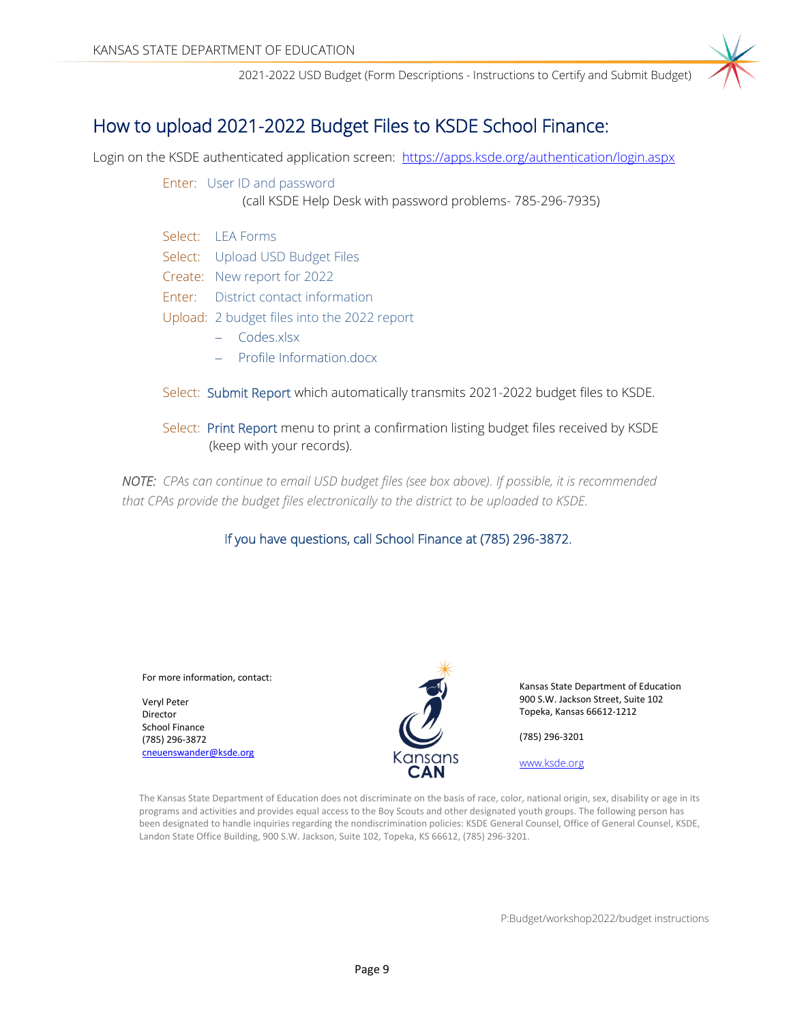### How to upload 2021-2022 Budget Files to KSDE School Finance:

Login on the KSDE authenticated application screen: <https://apps.ksde.org/authentication/login.aspx>

Enter: User ID and password (call KSDE Help Desk with password problems- 785-296-7935)

- Select: LEA Forms Select: Upload USD Budget Files Create: New report for 2022 Enter: District contact information Upload: 2 budget files into the 2022 report
	- − Codes.xlsx
	- − Profile Information.docx
- Select: Submit Report which automatically transmits 2021-2022 budget files to KSDE.
- Select: Print Report menu to print a confirmation listing budget files received by KSDE (keep with your records).

*NOTE: CPAs can continue to email USD budget files (see box above). If possible, it is recommended that CPAs provide the budget files electronically to the district to be uploaded to KSDE.*

#### If you have questions, call School Finance at (785) 296-3872.

#### For more information, contact:

Veryl Peter Director School Finance (785) 296-3872 [cneuenswander@ksde.org](mailto:cneuenswander@ksde.org)



Kansas State Department of Education 900 S.W. Jackson Street, Suite 102 Topeka, Kansas 66612-1212

(785) 296-3201

[www.ksde.org](http://www.ksde.org/)

The Kansas State Department of Education does not discriminate on the basis of race, color, national origin, sex, disability or age in its programs and activities and provides equal access to the Boy Scouts and other designated youth groups. The following person has been designated to handle inquiries regarding the nondiscrimination policies: KSDE General Counsel, Office of General Counsel, KSDE, Landon State Office Building, 900 S.W. Jackson, Suite 102, Topeka, KS 66612, (785) 296-3201.

P:Budget/workshop2022/budget instructions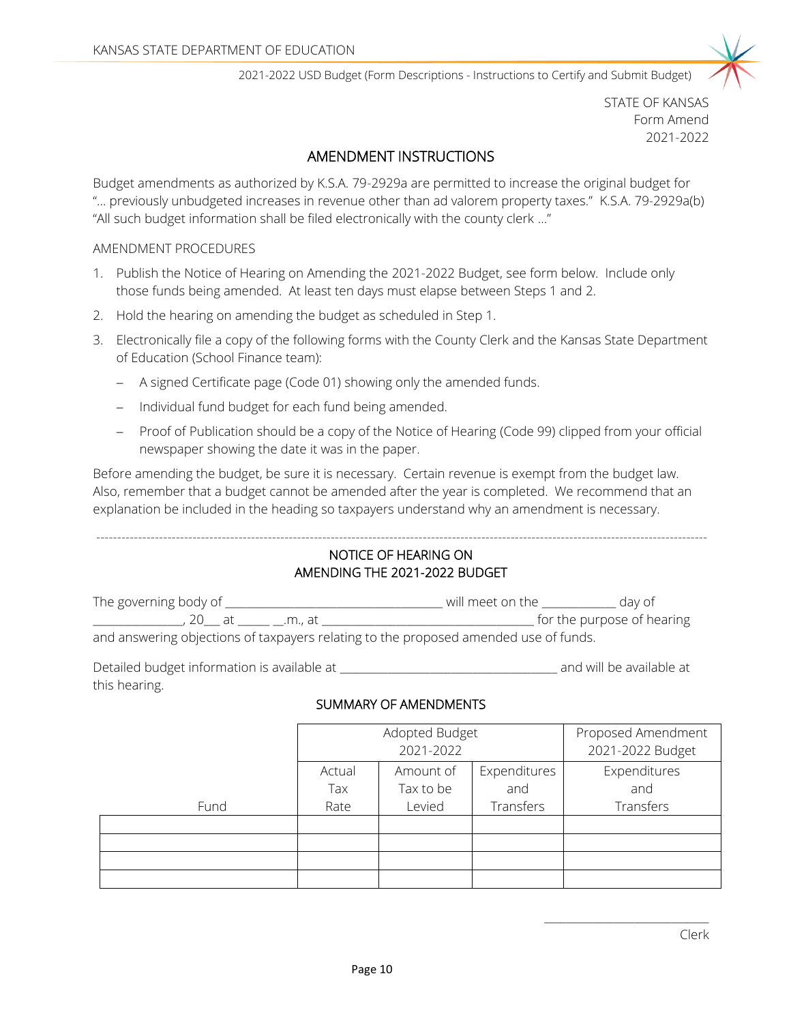

STATE OF KANSAS Form Amend 2021-2022

#### AMENDMENT INSTRUCTIONS

Budget amendments as authorized by K.S.A. 79-2929a are permitted to increase the original budget for "... previously unbudgeted increases in revenue other than ad valorem property taxes." K.S.A. 79-2929a(b) "All such budget information shall be filed electronically with the county clerk ..."

#### AMENDMENT PROCEDURES

- 1. Publish the Notice of Hearing on Amending the 2021-2022 Budget, see form below. Include only those funds being amended. At least ten days must elapse between Steps 1 and 2.
- 2. Hold the hearing on amending the budget as scheduled in Step 1.
- 3. Electronically file a copy of the following forms with the County Clerk and the Kansas State Department of Education (School Finance team):
	- − A signed Certificate page (Code 01) showing only the amended funds.
	- − Individual fund budget for each fund being amended.
	- − Proof of Publication should be a copy of the Notice of Hearing (Code 99) clipped from your official newspaper showing the date it was in the paper.

Before amending the budget, be sure it is necessary. Certain revenue is exempt from the budget law. Also, remember that a budget cannot be amended after the year is completed. We recommend that an explanation be included in the heading so taxpayers understand why an amendment is necessary.

#### -------------------------------------------------------------------------------------------------------------------------------------------------- NOTICE OF HEARING ON AMENDING THE 2021-2022 BUDGET

| The governing body of | will meet on the<br>dav of                                                           |  |
|-----------------------|--------------------------------------------------------------------------------------|--|
| ∠∪ at<br>m at i       | for the purpose of hearing                                                           |  |
|                       | and answering objections of taxpayers relating to the proposed amended use of funds. |  |

Detailed budget information is available at \_\_\_\_\_\_\_\_\_\_\_\_\_\_\_\_\_\_\_\_\_\_\_\_\_\_\_\_\_\_\_\_\_\_\_\_\_\_\_\_\_ and will be available at this hearing.

#### SUMMARY OF AMENDMENTS

|      | Adopted Budget<br>2021-2022 |           |              | Proposed Amendment<br>2021-2022 Budget |
|------|-----------------------------|-----------|--------------|----------------------------------------|
|      | Actual                      | Amount of | Expenditures | Expenditures                           |
|      | Tax                         | Tax to be | and          | and                                    |
| Fund | Rate                        | Levied    | Transfers    | Transfers                              |
|      |                             |           |              |                                        |
|      |                             |           |              |                                        |
|      |                             |           |              |                                        |
|      |                             |           |              |                                        |

\_\_\_\_\_\_\_\_\_\_\_\_\_\_\_\_\_\_\_\_\_\_\_\_\_\_\_\_\_\_\_